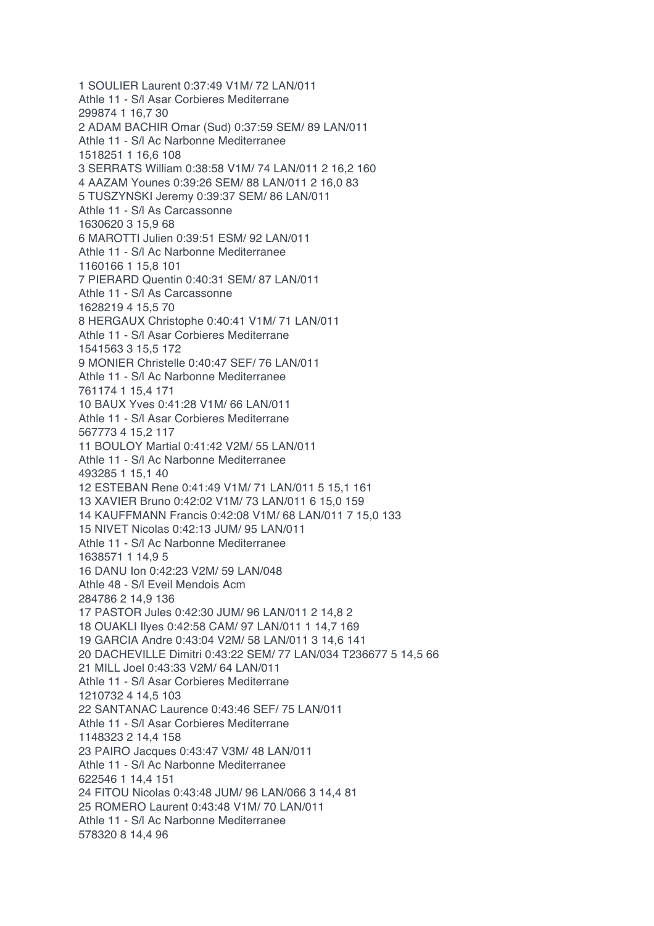1 SOULIER Laurent 0:37:49 V1M/ 72 LAN/011 Athle 11 - S/l Asar Corbieres Mediterrane 299874 1 16,7 30 2 ADAM BACHIR Omar (Sud) 0:37:59 SEM/ 89 LAN/011 Athle 11 - S/l Ac Narbonne Mediterranee 1518251 1 16,6 108 3 SERRATS William 0:38:58 V1M/ 74 LAN/011 2 16,2 160 4 AAZAM Younes 0:39:26 SEM/ 88 LAN/011 2 16,0 83 5 TUSZYNSKI Jeremy 0:39:37 SEM/ 86 LAN/011 Athle 11 - S/l As Carcassonne 1630620 3 15,9 68 6 MAROTTI Julien 0:39:51 ESM/ 92 LAN/011 Athle 11 - S/l Ac Narbonne Mediterranee 1160166 1 15,8 101 7 PIERARD Quentin 0:40:31 SEM/ 87 LAN/011 Athle 11 - S/l As Carcassonne 1628219 4 15,5 70 8 HERGAUX Christophe 0:40:41 V1M/ 71 LAN/011 Athle 11 - S/l Asar Corbieres Mediterrane 1541563 3 15,5 172 9 MONIER Christelle 0:40:47 SEF/ 76 LAN/011 Athle 11 - S/l Ac Narbonne Mediterranee 761174 1 15,4 171 10 BAUX Yves 0:41:28 V1M/ 66 LAN/011 Athle 11 - S/l Asar Corbieres Mediterrane 567773 4 15,2 117 11 BOULOY Martial 0:41:42 V2M/ 55 LAN/011 Athle 11 - S/l Ac Narbonne Mediterranee 493285 1 15,1 40 12 ESTEBAN Rene 0:41:49 V1M/ 71 LAN/011 5 15,1 161 13 XAVIER Bruno 0:42:02 V1M/ 73 LAN/011 6 15,0 159 14 KAUFFMANN Francis 0:42:08 V1M/ 68 LAN/011 7 15,0 133 15 NIVET Nicolas 0:42:13 JUM/ 95 LAN/011 Athle 11 - S/l Ac Narbonne Mediterranee 1638571 1 14,9 5 16 DANU Ion 0:42:23 V2M/ 59 LAN/048 Athle 48 - S/l Eveil Mendois Acm 284786 2 14,9 136 17 PASTOR Jules 0:42:30 JUM/ 96 LAN/011 2 14,8 2 18 OUAKLI Ilyes 0:42:58 CAM/ 97 LAN/011 1 14,7 169 19 GARCIA Andre 0:43:04 V2M/ 58 LAN/011 3 14,6 141 20 DACHEVILLE Dimitri 0:43:22 SEM/ 77 LAN/034 T236677 5 14,5 66 21 MILL Joel 0:43:33 V2M/ 64 LAN/011 Athle 11 - S/l Asar Corbieres Mediterrane 1210732 4 14,5 103 22 SANTANAC Laurence 0:43:46 SEF/ 75 LAN/011 Athle 11 - S/l Asar Corbieres Mediterrane 1148323 2 14,4 158 23 PAIRO Jacques 0:43:47 V3M/ 48 LAN/011 Athle 11 - S/l Ac Narbonne Mediterranee 622546 1 14,4 151 24 FITOU Nicolas 0:43:48 JUM/ 96 LAN/066 3 14,4 81 25 ROMERO Laurent 0:43:48 V1M/ 70 LAN/011 Athle 11 - S/l Ac Narbonne Mediterranee 578320 8 14,4 96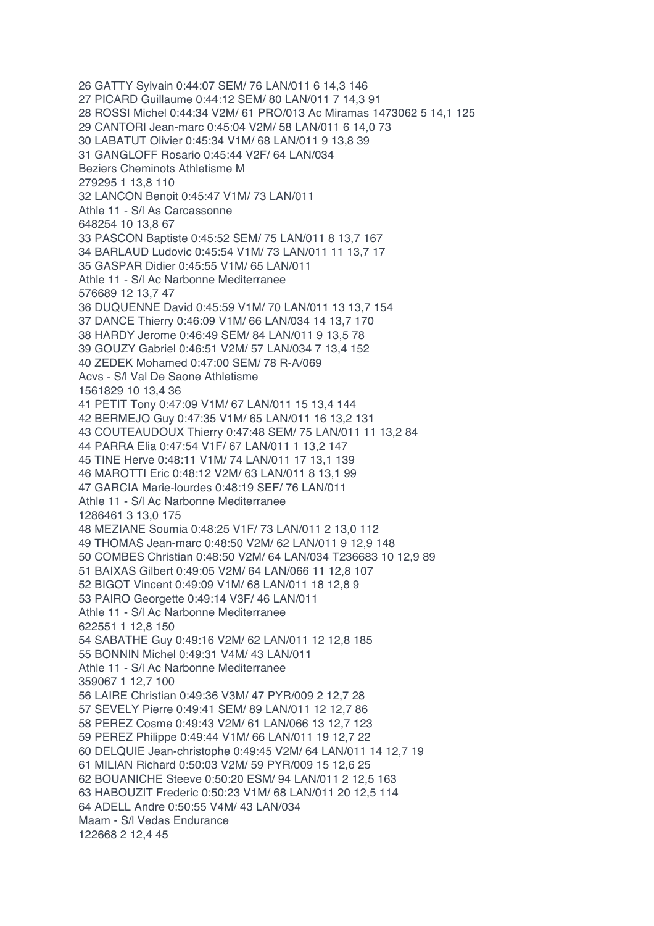26 GATTY Sylvain 0:44:07 SEM/ 76 LAN/011 6 14,3 146 27 PICARD Guillaume 0:44:12 SEM/ 80 LAN/011 7 14,3 91 28 ROSSI Michel 0:44:34 V2M/ 61 PRO/013 Ac Miramas 1473062 5 14,1 125 29 CANTORI Jean-marc 0:45:04 V2M/ 58 LAN/011 6 14,0 73 30 LABATUT Olivier 0:45:34 V1M/ 68 LAN/011 9 13,8 39 31 GANGLOFF Rosario 0:45:44 V2F/ 64 LAN/034 Beziers Cheminots Athletisme M 279295 1 13,8 110 32 LANCON Benoit 0:45:47 V1M/ 73 LAN/011 Athle 11 - S/l As Carcassonne 648254 10 13,8 67 33 PASCON Baptiste 0:45:52 SEM/ 75 LAN/011 8 13,7 167 34 BARLAUD Ludovic 0:45:54 V1M/ 73 LAN/011 11 13,7 17 35 GASPAR Didier 0:45:55 V1M/ 65 LAN/011 Athle 11 - S/l Ac Narbonne Mediterranee 576689 12 13,7 47 36 DUQUENNE David 0:45:59 V1M/ 70 LAN/011 13 13,7 154 37 DANCE Thierry 0:46:09 V1M/ 66 LAN/034 14 13,7 170 38 HARDY Jerome 0:46:49 SEM/ 84 LAN/011 9 13,5 78 39 GOUZY Gabriel 0:46:51 V2M/ 57 LAN/034 7 13,4 152 40 ZEDEK Mohamed 0:47:00 SEM/ 78 R-A/069 Acvs - S/l Val De Saone Athletisme 1561829 10 13,4 36 41 PETIT Tony 0:47:09 V1M/ 67 LAN/011 15 13,4 144 42 BERMEJO Guy 0:47:35 V1M/ 65 LAN/011 16 13,2 131 43 COUTEAUDOUX Thierry 0:47:48 SEM/ 75 LAN/011 11 13,2 84 44 PARRA Elia 0:47:54 V1F/ 67 LAN/011 1 13,2 147 45 TINE Herve 0:48:11 V1M/ 74 LAN/011 17 13,1 139 46 MAROTTI Eric 0:48:12 V2M/ 63 LAN/011 8 13,1 99 47 GARCIA Marie-lourdes 0:48:19 SEF/ 76 LAN/011 Athle 11 - S/l Ac Narbonne Mediterranee 1286461 3 13,0 175 48 MEZIANE Soumia 0:48:25 V1F/ 73 LAN/011 2 13,0 112 49 THOMAS Jean-marc 0:48:50 V2M/ 62 LAN/011 9 12,9 148 50 COMBES Christian 0:48:50 V2M/ 64 LAN/034 T236683 10 12,9 89 51 BAIXAS Gilbert 0:49:05 V2M/ 64 LAN/066 11 12,8 107 52 BIGOT Vincent 0:49:09 V1M/ 68 LAN/011 18 12,8 9 53 PAIRO Georgette 0:49:14 V3F/ 46 LAN/011 Athle 11 - S/l Ac Narbonne Mediterranee 622551 1 12,8 150 54 SABATHE Guy 0:49:16 V2M/ 62 LAN/011 12 12,8 185 55 BONNIN Michel 0:49:31 V4M/ 43 LAN/011 Athle 11 - S/l Ac Narbonne Mediterranee 359067 1 12,7 100 56 LAIRE Christian 0:49:36 V3M/ 47 PYR/009 2 12,7 28 57 SEVELY Pierre 0:49:41 SEM/ 89 LAN/011 12 12,7 86 58 PEREZ Cosme 0:49:43 V2M/ 61 LAN/066 13 12,7 123 59 PEREZ Philippe 0:49:44 V1M/ 66 LAN/011 19 12,7 22 60 DELQUIE Jean-christophe 0:49:45 V2M/ 64 LAN/011 14 12,7 19 61 MILIAN Richard 0:50:03 V2M/ 59 PYR/009 15 12,6 25 62 BOUANICHE Steeve 0:50:20 ESM/ 94 LAN/011 2 12,5 163 63 HABOUZIT Frederic 0:50:23 V1M/ 68 LAN/011 20 12,5 114 64 ADELL Andre 0:50:55 V4M/ 43 LAN/034 Maam - S/l Vedas Endurance 122668 2 12,4 45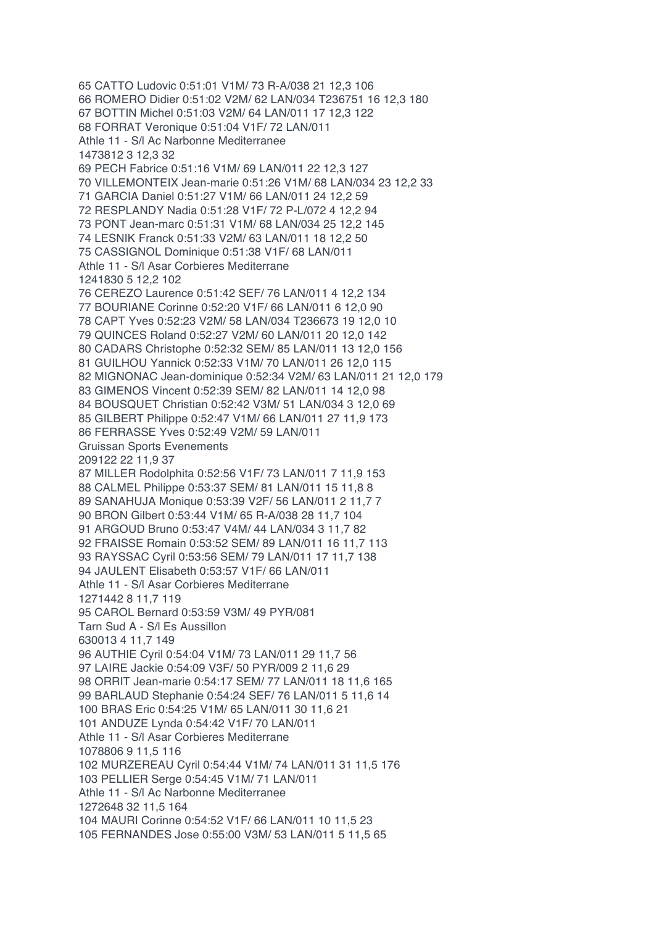65 CATTO Ludovic 0:51:01 V1M/ 73 R-A/038 21 12,3 106 66 ROMERO Didier 0:51:02 V2M/ 62 LAN/034 T236751 16 12,3 180 67 BOTTIN Michel 0:51:03 V2M/ 64 LAN/011 17 12,3 122 68 FORRAT Veronique 0:51:04 V1F/ 72 LAN/011 Athle 11 - S/l Ac Narbonne Mediterranee 1473812 3 12,3 32 69 PECH Fabrice 0:51:16 V1M/ 69 LAN/011 22 12,3 127 70 VILLEMONTEIX Jean-marie 0:51:26 V1M/ 68 LAN/034 23 12,2 33 71 GARCIA Daniel 0:51:27 V1M/ 66 LAN/011 24 12,2 59 72 RESPLANDY Nadia 0:51:28 V1F/ 72 P-L/072 4 12,2 94 73 PONT Jean-marc 0:51:31 V1M/ 68 LAN/034 25 12,2 145 74 LESNIK Franck 0:51:33 V2M/ 63 LAN/011 18 12,2 50 75 CASSIGNOL Dominique 0:51:38 V1F/ 68 LAN/011 Athle 11 - S/l Asar Corbieres Mediterrane 1241830 5 12,2 102 76 CEREZO Laurence 0:51:42 SEF/ 76 LAN/011 4 12,2 134 77 BOURIANE Corinne 0:52:20 V1F/ 66 LAN/011 6 12,0 90 78 CAPT Yves 0:52:23 V2M/ 58 LAN/034 T236673 19 12,0 10 79 QUINCES Roland 0:52:27 V2M/ 60 LAN/011 20 12,0 142 80 CADARS Christophe 0:52:32 SEM/ 85 LAN/011 13 12,0 156 81 GUILHOU Yannick 0:52:33 V1M/ 70 LAN/011 26 12,0 115 82 MIGNONAC Jean-dominique 0:52:34 V2M/ 63 LAN/011 21 12,0 179 83 GIMENOS Vincent 0:52:39 SEM/ 82 LAN/011 14 12,0 98 84 BOUSQUET Christian 0:52:42 V3M/ 51 LAN/034 3 12,0 69 85 GILBERT Philippe 0:52:47 V1M/ 66 LAN/011 27 11,9 173 86 FERRASSE Yves 0:52:49 V2M/ 59 LAN/011 Gruissan Sports Evenements 209122 22 11,9 37 87 MILLER Rodolphita 0:52:56 V1F/ 73 LAN/011 7 11,9 153 88 CALMEL Philippe 0:53:37 SEM/ 81 LAN/011 15 11,8 8 89 SANAHUJA Monique 0:53:39 V2F/ 56 LAN/011 2 11,7 7 90 BRON Gilbert 0:53:44 V1M/ 65 R-A/038 28 11,7 104 91 ARGOUD Bruno 0:53:47 V4M/ 44 LAN/034 3 11,7 82 92 FRAISSE Romain 0:53:52 SEM/ 89 LAN/011 16 11,7 113 93 RAYSSAC Cyril 0:53:56 SEM/ 79 LAN/011 17 11,7 138 94 JAULENT Elisabeth 0:53:57 V1F/ 66 LAN/011 Athle 11 - S/l Asar Corbieres Mediterrane 1271442 8 11,7 119 95 CAROL Bernard 0:53:59 V3M/ 49 PYR/081 Tarn Sud A - S/l Es Aussillon 630013 4 11,7 149 96 AUTHIE Cyril 0:54:04 V1M/ 73 LAN/011 29 11,7 56 97 LAIRE Jackie 0:54:09 V3F/ 50 PYR/009 2 11,6 29 98 ORRIT Jean-marie 0:54:17 SEM/ 77 LAN/011 18 11,6 165 99 BARLAUD Stephanie 0:54:24 SEF/ 76 LAN/011 5 11,6 14 100 BRAS Eric 0:54:25 V1M/ 65 LAN/011 30 11,6 21 101 ANDUZE Lynda 0:54:42 V1F/ 70 LAN/011 Athle 11 - S/l Asar Corbieres Mediterrane 1078806 9 11,5 116 102 MURZEREAU Cyril 0:54:44 V1M/ 74 LAN/011 31 11,5 176 103 PELLIER Serge 0:54:45 V1M/ 71 LAN/011 Athle 11 - S/l Ac Narbonne Mediterranee 1272648 32 11,5 164 104 MAURI Corinne 0:54:52 V1F/ 66 LAN/011 10 11,5 23 105 FERNANDES Jose 0:55:00 V3M/ 53 LAN/011 5 11,5 65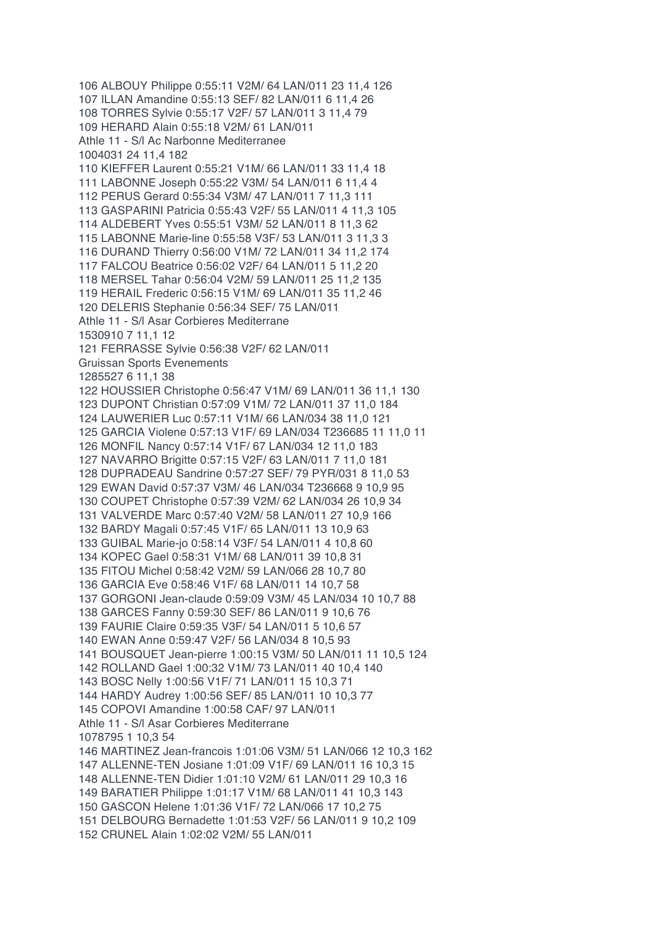106 ALBOUY Philippe 0:55:11 V2M/ 64 LAN/011 23 11,4 126 107 ILLAN Amandine 0:55:13 SEF/ 82 LAN/011 6 11,4 26 108 TORRES Sylvie 0:55:17 V2F/ 57 LAN/011 3 11,4 79 109 HERARD Alain 0:55:18 V2M/ 61 LAN/011 Athle 11 - S/l Ac Narbonne Mediterranee 1004031 24 11,4 182 110 KIEFFER Laurent 0:55:21 V1M/ 66 LAN/011 33 11,4 18 111 LABONNE Joseph 0:55:22 V3M/ 54 LAN/011 6 11,4 4 112 PERUS Gerard 0:55:34 V3M/ 47 LAN/011 7 11,3 111 113 GASPARINI Patricia 0:55:43 V2F/ 55 LAN/011 4 11,3 105 114 ALDEBERT Yves 0:55:51 V3M/ 52 LAN/011 8 11,3 62 115 LABONNE Marie-line 0:55:58 V3F/ 53 LAN/011 3 11,3 3 116 DURAND Thierry 0:56:00 V1M/ 72 LAN/011 34 11,2 174 117 FALCOU Beatrice 0:56:02 V2F/ 64 LAN/011 5 11,2 20 118 MERSEL Tahar 0:56:04 V2M/ 59 LAN/011 25 11,2 135 119 HERAIL Frederic 0:56:15 V1M/ 69 LAN/011 35 11,2 46 120 DELERIS Stephanie 0:56:34 SEF/ 75 LAN/011 Athle 11 - S/l Asar Corbieres Mediterrane 1530910 7 11,1 12 121 FERRASSE Sylvie 0:56:38 V2F/ 62 LAN/011 Gruissan Sports Evenements 1285527 6 11,1 38 122 HOUSSIER Christophe 0:56:47 V1M/ 69 LAN/011 36 11,1 130 123 DUPONT Christian 0:57:09 V1M/ 72 LAN/011 37 11,0 184 124 LAUWERIER Luc 0:57:11 V1M/ 66 LAN/034 38 11,0 121 125 GARCIA Violene 0:57:13 V1F/ 69 LAN/034 T236685 11 11,0 11 126 MONFIL Nancy 0:57:14 V1F/ 67 LAN/034 12 11,0 183 127 NAVARRO Brigitte 0:57:15 V2F/ 63 LAN/011 7 11,0 181 128 DUPRADEAU Sandrine 0:57:27 SEF/ 79 PYR/031 8 11,0 53 129 EWAN David 0:57:37 V3M/ 46 LAN/034 T236668 9 10,9 95 130 COUPET Christophe 0:57:39 V2M/ 62 LAN/034 26 10,9 34 131 VALVERDE Marc 0:57:40 V2M/ 58 LAN/011 27 10,9 166 132 BARDY Magali 0:57:45 V1F/ 65 LAN/011 13 10,9 63 133 GUIBAL Marie-jo 0:58:14 V3F/ 54 LAN/011 4 10,8 60 134 KOPEC Gael 0:58:31 V1M/ 68 LAN/011 39 10,8 31 135 FITOU Michel 0:58:42 V2M/ 59 LAN/066 28 10,7 80 136 GARCIA Eve 0:58:46 V1F/ 68 LAN/011 14 10,7 58 137 GORGONI Jean-claude 0:59:09 V3M/ 45 LAN/034 10 10,7 88 138 GARCES Fanny 0:59:30 SEF/ 86 LAN/011 9 10,6 76 139 FAURIE Claire 0:59:35 V3F/ 54 LAN/011 5 10,6 57 140 EWAN Anne 0:59:47 V2F/ 56 LAN/034 8 10,5 93 141 BOUSQUET Jean-pierre 1:00:15 V3M/ 50 LAN/011 11 10,5 124 142 ROLLAND Gael 1:00:32 V1M/ 73 LAN/011 40 10,4 140 143 BOSC Nelly 1:00:56 V1F/ 71 LAN/011 15 10,3 71 144 HARDY Audrey 1:00:56 SEF/ 85 LAN/011 10 10,3 77 145 COPOVI Amandine 1:00:58 CAF/ 97 LAN/011 Athle 11 - S/l Asar Corbieres Mediterrane 1078795 1 10,3 54 146 MARTINEZ Jean-francois 1:01:06 V3M/ 51 LAN/066 12 10,3 162 147 ALLENNE-TEN Josiane 1:01:09 V1F/ 69 LAN/011 16 10,3 15 148 ALLENNE-TEN Didier 1:01:10 V2M/ 61 LAN/011 29 10,3 16 149 BARATIER Philippe 1:01:17 V1M/ 68 LAN/011 41 10,3 143 150 GASCON Helene 1:01:36 V1F/ 72 LAN/066 17 10,2 75 151 DELBOURG Bernadette 1:01:53 V2F/ 56 LAN/011 9 10,2 109 152 CRUNEL Alain 1:02:02 V2M/ 55 LAN/011